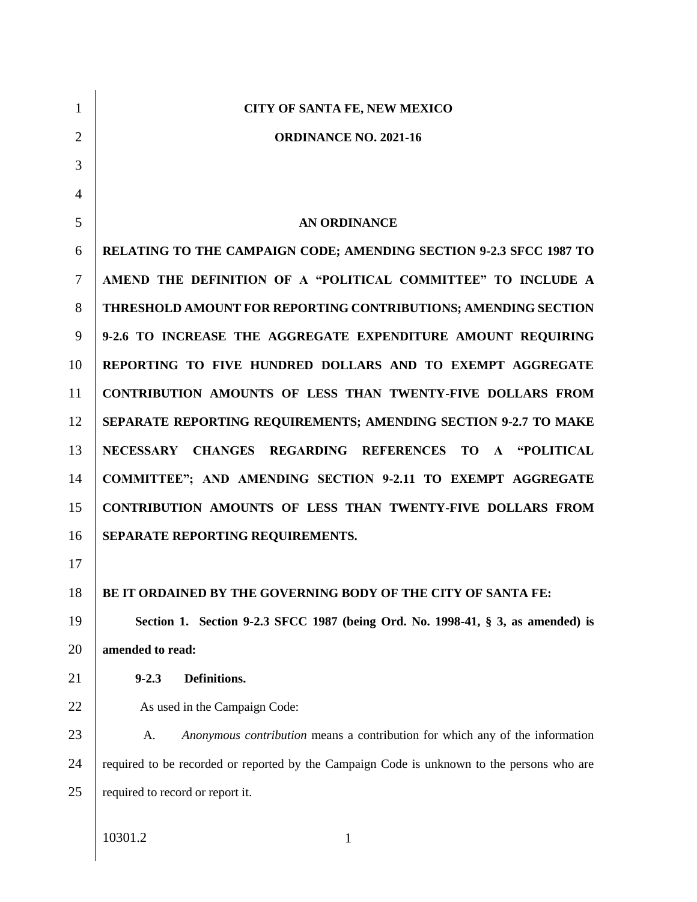| $\mathbf{1}$   | CITY OF SANTA FE, NEW MEXICO                                                               |
|----------------|--------------------------------------------------------------------------------------------|
| $\overline{2}$ | <b>ORDINANCE NO. 2021-16</b>                                                               |
| 3              |                                                                                            |
| 4              |                                                                                            |
| 5              | <b>AN ORDINANCE</b>                                                                        |
| 6              | RELATING TO THE CAMPAIGN CODE; AMENDING SECTION 9-2.3 SFCC 1987 TO                         |
| 7              | AMEND THE DEFINITION OF A "POLITICAL COMMITTEE" TO INCLUDE A                               |
| 8              | <b>THRESHOLD AMOUNT FOR REPORTING CONTRIBUTIONS; AMENDING SECTION</b>                      |
| 9              | 9-2.6 TO INCREASE THE AGGREGATE EXPENDITURE AMOUNT REQUIRING                               |
| 10             | REPORTING TO FIVE HUNDRED DOLLARS AND TO EXEMPT AGGREGATE                                  |
| 11             | CONTRIBUTION AMOUNTS OF LESS THAN TWENTY-FIVE DOLLARS FROM                                 |
| 12             | SEPARATE REPORTING REQUIREMENTS; AMENDING SECTION 9-2.7 TO MAKE                            |
| 13             | NECESSARY CHANGES REGARDING REFERENCES<br>TO A<br><b>"POLITICAL</b>                        |
| 14             | COMMITTEE"; AND AMENDING SECTION 9-2.11 TO EXEMPT AGGREGATE                                |
| 15             | CONTRIBUTION AMOUNTS OF LESS THAN TWENTY-FIVE DOLLARS FROM                                 |
| 16             | SEPARATE REPORTING REQUIREMENTS.                                                           |
| 17             |                                                                                            |
| 18             | BE IT ORDAINED BY THE GOVERNING BODY OF THE CITY OF SANTA FE:                              |
| 19             | Section 1. Section 9-2.3 SFCC 1987 (being Ord. No. 1998-41, § 3, as amended) is            |
| 20             | amended to read:                                                                           |
| 21             | $9 - 2.3$<br>Definitions.                                                                  |
| 22             | As used in the Campaign Code:                                                              |
| 23             | Anonymous contribution means a contribution for which any of the information<br>A.         |
| 24             | required to be recorded or reported by the Campaign Code is unknown to the persons who are |
| 25             | required to record or report it.                                                           |
|                |                                                                                            |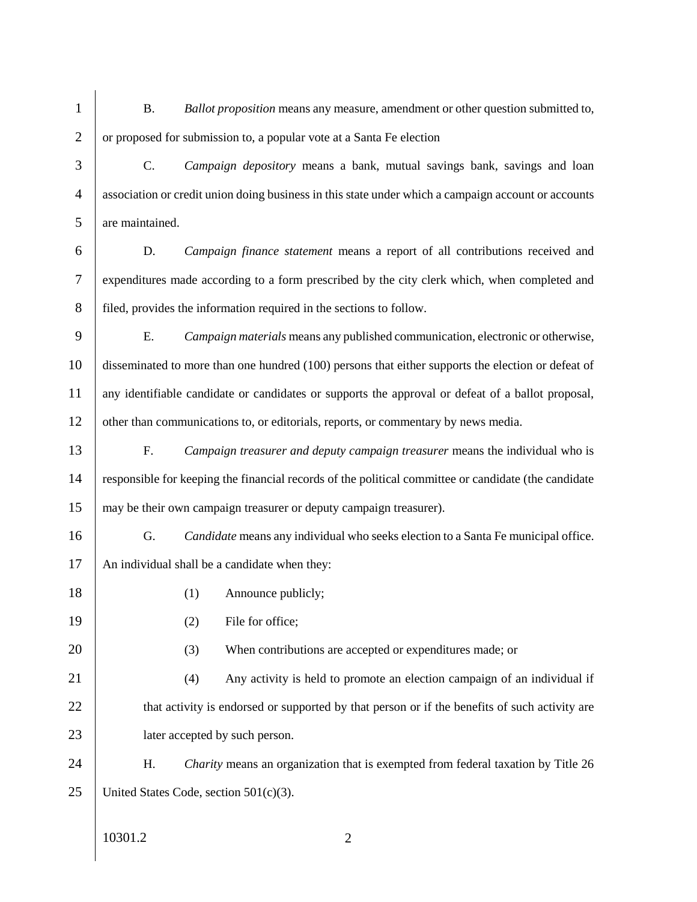1 B. *Ballot proposition* means any measure, amendment or other question submitted to,  $2 \mid$  or proposed for submission to, a popular vote at a Santa Fe election

3 C. *Campaign depository* means a bank, mutual savings bank, savings and loan 4 association or credit union doing business in this state under which a campaign account or accounts 5 are maintained.

6 D. *Campaign finance statement* means a report of all contributions received and 7 expenditures made according to a form prescribed by the city clerk which, when completed and 8 filed, provides the information required in the sections to follow.

9 E. *Campaign materials* means any published communication, electronic or otherwise, 10 disseminated to more than one hundred (100) persons that either supports the election or defeat of 11 any identifiable candidate or candidates or supports the approval or defeat of a ballot proposal, 12 other than communications to, or editorials, reports, or commentary by news media.

13 F. *Campaign treasurer and deputy campaign treasurer* means the individual who is 14 responsible for keeping the financial records of the political committee or candidate (the candidate 15 may be their own campaign treasurer or deputy campaign treasurer).

16 G. *Candidate* means any individual who seeks election to a Santa Fe municipal office. 17 An individual shall be a candidate when they:

18 (1) Announce publicly;

19 (2) File for office;

20 (3) When contributions are accepted or expenditures made; or

21 (4) Any activity is held to promote an election campaign of an individual if 22 that activity is endorsed or supported by that person or if the benefits of such activity are 23 **later accepted by such person.** 

24 H. *Charity* means an organization that is exempted from federal taxation by Title 26 25 | United States Code, section  $501(c)(3)$ .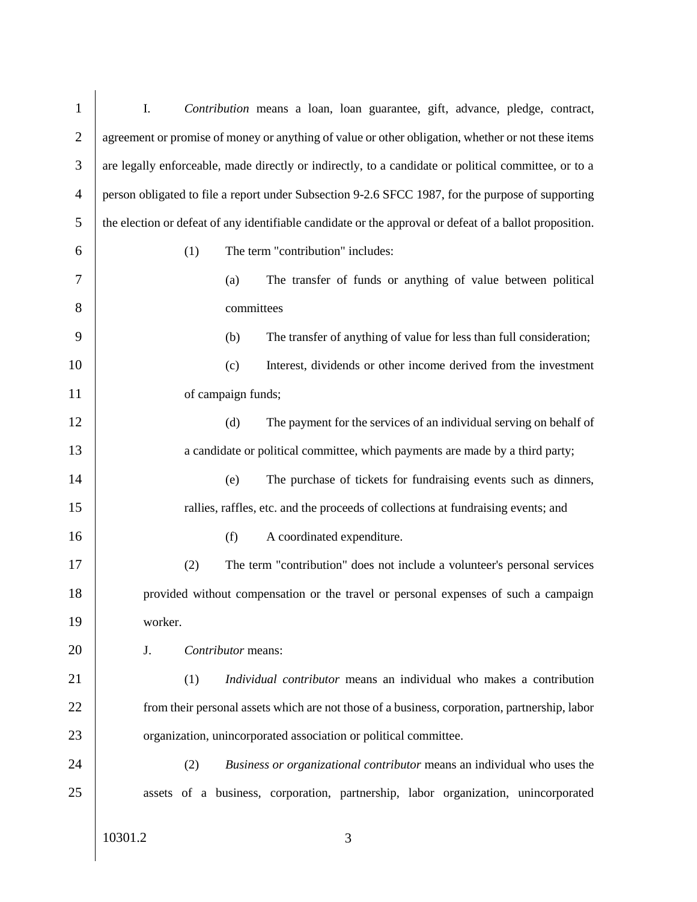| $\mathbf{1}$   | Contribution means a loan, loan guarantee, gift, advance, pledge, contract,<br>Ι.                       |
|----------------|---------------------------------------------------------------------------------------------------------|
| $\overline{2}$ | agreement or promise of money or anything of value or other obligation, whether or not these items      |
| 3              | are legally enforceable, made directly or indirectly, to a candidate or political committee, or to a    |
| $\overline{4}$ | person obligated to file a report under Subsection 9-2.6 SFCC 1987, for the purpose of supporting       |
| 5              | the election or defeat of any identifiable candidate or the approval or defeat of a ballot proposition. |
| 6              | The term "contribution" includes:<br>(1)                                                                |
| 7              | The transfer of funds or anything of value between political<br>(a)                                     |
| 8              | committees                                                                                              |
| 9              | (b)<br>The transfer of anything of value for less than full consideration;                              |
| 10             | Interest, dividends or other income derived from the investment<br>(c)                                  |
| 11             | of campaign funds;                                                                                      |
| 12             | (d)<br>The payment for the services of an individual serving on behalf of                               |
| 13             | a candidate or political committee, which payments are made by a third party;                           |
| 14             | (e)<br>The purchase of tickets for fundraising events such as dinners,                                  |
| 15             | rallies, raffles, etc. and the proceeds of collections at fundraising events; and                       |
| 16             | A coordinated expenditure.<br>(f)                                                                       |
| 17             | The term "contribution" does not include a volunteer's personal services<br>(2)                         |
| 18             | provided without compensation or the travel or personal expenses of such a campaign                     |
| 19             | worker.                                                                                                 |
| 20             | J.<br>Contributor means:                                                                                |
| 21             | (1)<br>Individual contributor means an individual who makes a contribution                              |
| 22             | from their personal assets which are not those of a business, corporation, partnership, labor           |
| 23             | organization, unincorporated association or political committee.                                        |
| 24             | Business or organizational contributor means an individual who uses the<br>(2)                          |
| 25             | assets of a business, corporation, partnership, labor organization, unincorporated                      |
|                | 10301.2<br>3                                                                                            |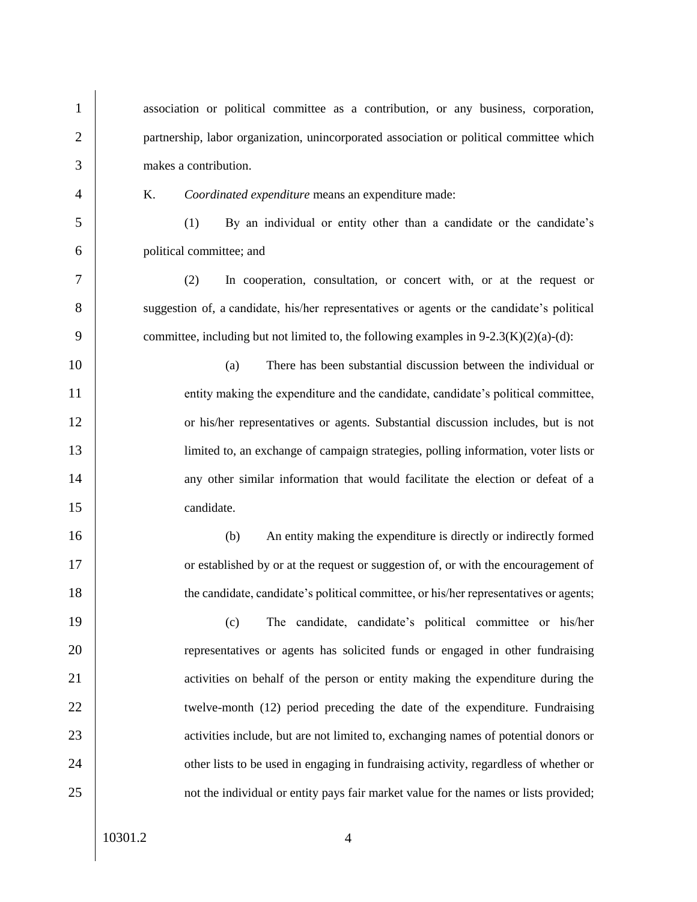1 association or political committee as a contribution, or any business, corporation, 2 partnership, labor organization, unincorporated association or political committee which 3 makes a contribution. 4 K. *Coordinated expenditure* means an expenditure made: 5 (1) By an individual or entity other than a candidate or the candidate's 6 political committee; and 7 (2) In cooperation, consultation, or concert with, or at the request or 8 suggestion of, a candidate, his/her representatives or agents or the candidate's political 9 committee, including but not limited to, the following examples in  $9-2.3(K)(2)(a)-(d)$ : 10 (a) There has been substantial discussion between the individual or 11 entity making the expenditure and the candidate, candidate's political committee, 12 or his/her representatives or agents. Substantial discussion includes, but is not 13 limited to, an exchange of campaign strategies, polling information, voter lists or 14 any other similar information that would facilitate the election or defeat of a 15 candidate. 16 (b) An entity making the expenditure is directly or indirectly formed 17 or established by or at the request or suggestion of, or with the encouragement of 18 the candidate, candidate's political committee, or his/her representatives or agents; 19 (c) The candidate, candidate's political committee or his/her 20 **Propresentatives or agents has solicited funds or engaged in other fundraising** 21 activities on behalf of the person or entity making the expenditure during the 22 welve-month (12) period preceding the date of the expenditure. Fundraising 23 activities include, but are not limited to, exchanging names of potential donors or 24 other lists to be used in engaging in fundraising activity, regardless of whether or 25 not the individual or entity pays fair market value for the names or lists provided;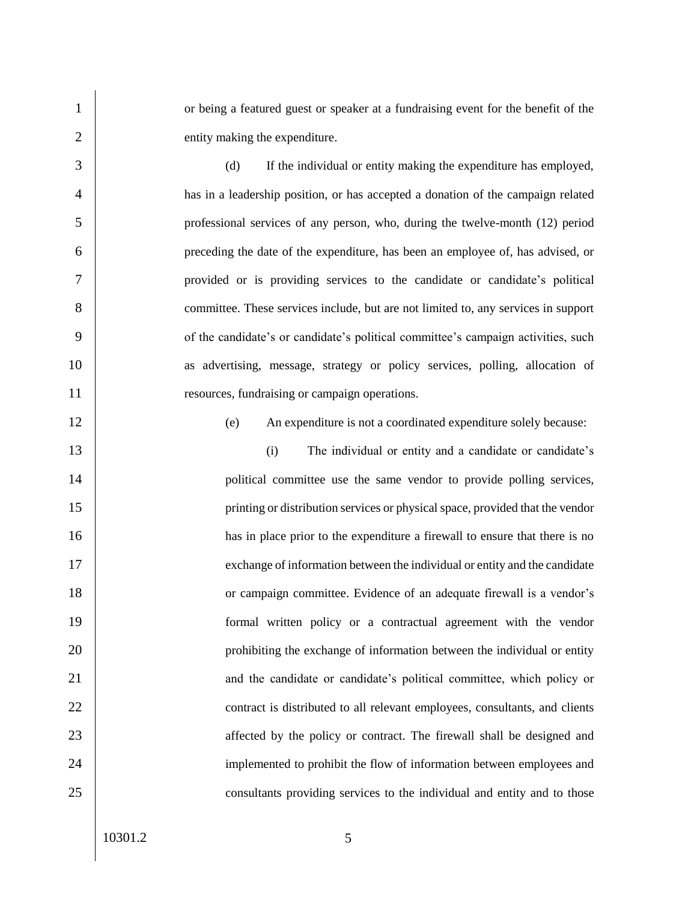or being a featured guest or speaker at a fundraising event for the benefit of the 2 entity making the expenditure.

 (d) If the individual or entity making the expenditure has employed, has in a leadership position, or has accepted a donation of the campaign related professional services of any person, who, during the twelve-month (12) period preceding the date of the expenditure, has been an employee of, has advised, or provided or is providing services to the candidate or candidate's political committee. These services include, but are not limited to, any services in support 9 of the candidate's or candidate's political committee's campaign activities, such 10 as advertising, message, strategy or policy services, polling, allocation of **resources**, fundraising or campaign operations.

(e) An expenditure is not a coordinated expenditure solely because:

 (i) The individual or entity and a candidate or candidate's 14 | political committee use the same vendor to provide polling services, printing or distribution services or physical space, provided that the vendor has in place prior to the expenditure a firewall to ensure that there is no exchange of information between the individual or entity and the candidate 18 or campaign committee. Evidence of an adequate firewall is a vendor's formal written policy or a contractual agreement with the vendor **prohibiting the exchange of information between the individual or entity** 21 and the candidate or candidate's political committee, which policy or **contract is distributed to all relevant employees, consultants, and clients** 23 affected by the policy or contract. The firewall shall be designed and 24 | implemented to prohibit the flow of information between employees and **consultants** providing services to the individual and entity and to those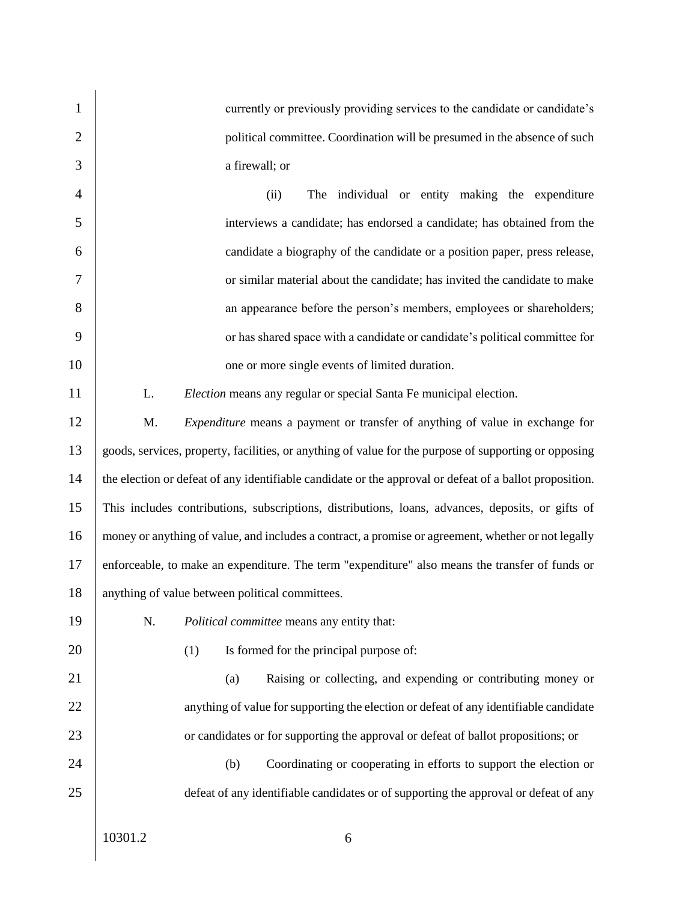10301.2 6 1 currently or previously providing services to the candidate or candidate's 2 political committee. Coordination will be presumed in the absence of such 3 a firewall; or 4 (ii) The individual or entity making the expenditure 5 interviews a candidate; has endorsed a candidate; has obtained from the 6 candidate a biography of the candidate or a position paper, press release, 7 or similar material about the candidate; has invited the candidate to make 8 an appearance before the person's members, employees or shareholders; 9 or has shared space with a candidate or candidate's political committee for 10 one or more single events of limited duration. 11 L. *Election* means any regular or special Santa Fe municipal election. 12 M. *Expenditure* means a payment or transfer of anything of value in exchange for 13 goods, services, property, facilities, or anything of value for the purpose of supporting or opposing 14 the election or defeat of any identifiable candidate or the approval or defeat of a ballot proposition. 15 This includes contributions, subscriptions, distributions, loans, advances, deposits, or gifts of 16 money or anything of value, and includes a contract, a promise or agreement, whether or not legally 17 enforceable, to make an expenditure. The term "expenditure" also means the transfer of funds or 18 anything of value between political committees. 19 N. *Political committee* means any entity that: 20 (1) Is formed for the principal purpose of: 21 (a) Raising or collecting, and expending or contributing money or 22 anything of value for supporting the election or defeat of any identifiable candidate 23 or candidates or for supporting the approval or defeat of ballot propositions; or 24 (b) Coordinating or cooperating in efforts to support the election or 25 defeat of any identifiable candidates or of supporting the approval or defeat of any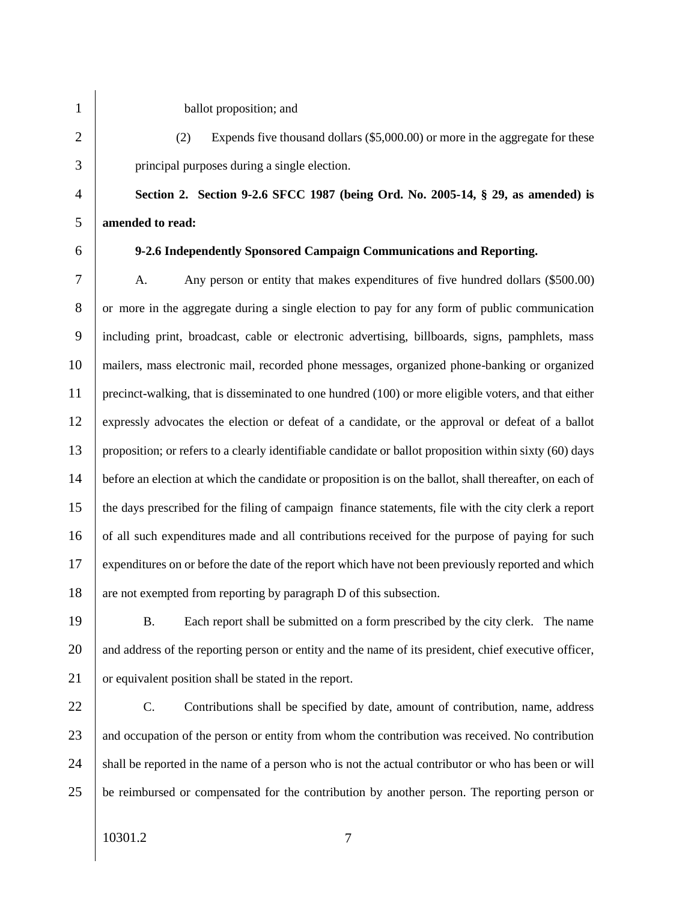1 ballot proposition; and

2 (2) Expends five thousand dollars (\$5,000.00) or more in the aggregate for these 3 principal purposes during a single election.

4 **Section 2. Section 9-2.6 SFCC 1987 (being Ord. No. 2005-14, § 29, as amended) is**  5 **amended to read:**

## 6 **9-2.6 Independently Sponsored Campaign Communications and Reporting.**

7 A. Any person or entity that makes expenditures of five hundred dollars (\$500.00) or more in the aggregate during a single election to pay for any form of public communication including print, broadcast, cable or electronic advertising, billboards, signs, pamphlets, mass mailers, mass electronic mail, recorded phone messages, organized phone-banking or organized precinct-walking, that is disseminated to one hundred (100) or more eligible voters, and that either expressly advocates the election or defeat of a candidate, or the approval or defeat of a ballot 13 proposition; or refers to a clearly identifiable candidate or ballot proposition within sixty (60) days before an election at which the candidate or proposition is on the ballot, shall thereafter, on each of the days prescribed for the filing of campaign finance statements, file with the city clerk a report 16 of all such expenditures made and all contributions received for the purpose of paying for such expenditures on or before the date of the report which have not been previously reported and which 18 are not exempted from reporting by paragraph D of this subsection.

19 B. Each report shall be submitted on a form prescribed by the city clerk. The name 20 and address of the reporting person or entity and the name of its president, chief executive officer, 21 or equivalent position shall be stated in the report.

22 C. Contributions shall be specified by date, amount of contribution, name, address 23 and occupation of the person or entity from whom the contribution was received. No contribution 24 shall be reported in the name of a person who is not the actual contributor or who has been or will 25 be reimbursed or compensated for the contribution by another person. The reporting person or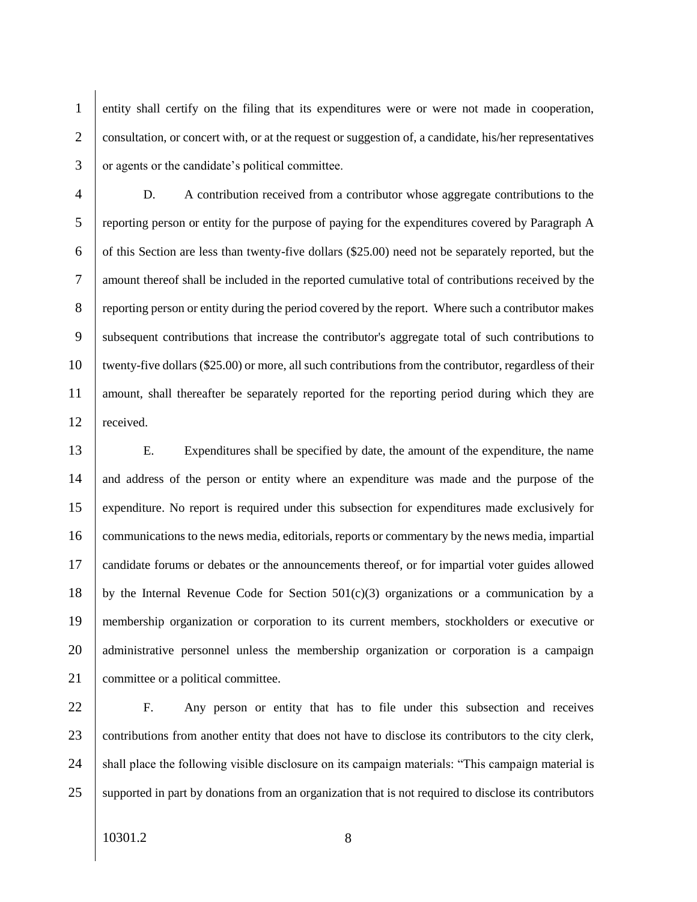1 entity shall certify on the filing that its expenditures were or were not made in cooperation, 2 consultation, or concert with, or at the request or suggestion of, a candidate, his/her representatives 3 or agents or the candidate's political committee.

4 D. A contribution received from a contributor whose aggregate contributions to the 5 reporting person or entity for the purpose of paying for the expenditures covered by Paragraph A 6 of this Section are less than twenty-five dollars  $(\$25.00)$  need not be separately reported, but the 7 amount thereof shall be included in the reported cumulative total of contributions received by the 8 reporting person or entity during the period covered by the report. Where such a contributor makes 9 subsequent contributions that increase the contributor's aggregate total of such contributions to 10 twenty-five dollars (\$25.00) or more, all such contributions from the contributor, regardless of their 11 amount, shall thereafter be separately reported for the reporting period during which they are 12 received.

13 E. Expenditures shall be specified by date, the amount of the expenditure, the name 14 and address of the person or entity where an expenditure was made and the purpose of the 15 expenditure. No report is required under this subsection for expenditures made exclusively for 16 communications to the news media, editorials, reports or commentary by the news media, impartial 17 candidate forums or debates or the announcements thereof, or for impartial voter guides allowed 18 by the Internal Revenue Code for Section  $501(c)(3)$  organizations or a communication by a 19 membership organization or corporation to its current members, stockholders or executive or 20 administrative personnel unless the membership organization or corporation is a campaign 21 \ committee or a political committee.

22 F. Any person or entity that has to file under this subsection and receives 23 contributions from another entity that does not have to disclose its contributors to the city clerk, 24 Shall place the following visible disclosure on its campaign materials: "This campaign material is 25 | supported in part by donations from an organization that is not required to disclose its contributors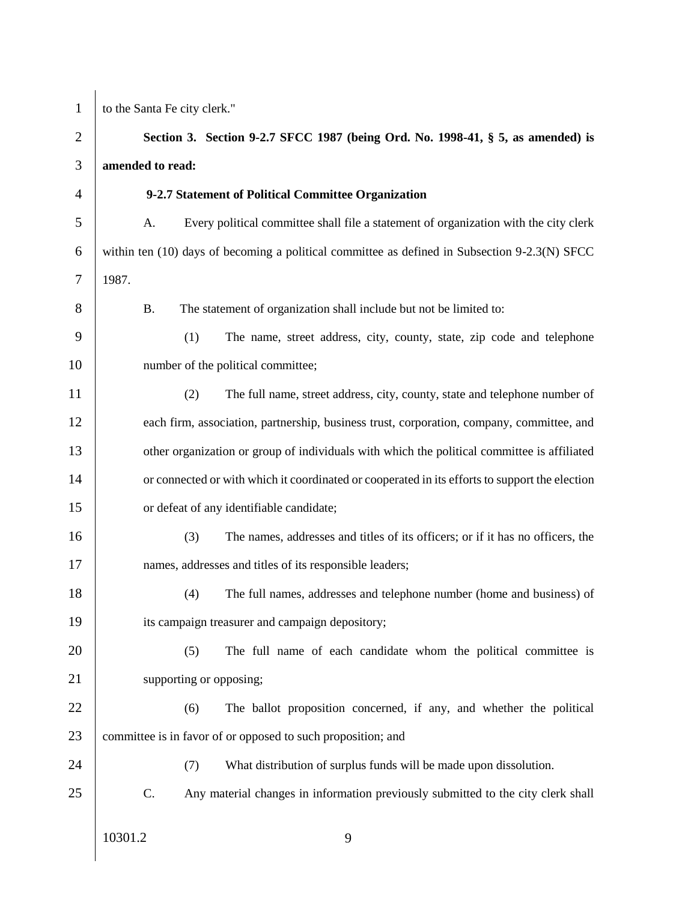| 1              | to the Santa Fe city clerk."                                                                   |
|----------------|------------------------------------------------------------------------------------------------|
| $\overline{c}$ | Section 3. Section 9-2.7 SFCC 1987 (being Ord. No. 1998-41, § 5, as amended) is                |
| 3              | amended to read:                                                                               |
| $\overline{4}$ | 9-2.7 Statement of Political Committee Organization                                            |
| 5              | Every political committee shall file a statement of organization with the city clerk<br>A.     |
| 6              | within ten (10) days of becoming a political committee as defined in Subsection 9-2.3(N) SFCC  |
| 7              | 1987.                                                                                          |
| 8              | The statement of organization shall include but not be limited to:<br><b>B.</b>                |
| 9              | (1)<br>The name, street address, city, county, state, zip code and telephone                   |
| 10             | number of the political committee;                                                             |
| 11             | (2)<br>The full name, street address, city, county, state and telephone number of              |
| 12             | each firm, association, partnership, business trust, corporation, company, committee, and      |
| 13             | other organization or group of individuals with which the political committee is affiliated    |
| 14             | or connected or with which it coordinated or cooperated in its efforts to support the election |
| 15             | or defeat of any identifiable candidate;                                                       |
| 16             | The names, addresses and titles of its officers; or if it has no officers, the<br>(3)          |
| 17             | names, addresses and titles of its responsible leaders;                                        |
| 18             | The full names, addresses and telephone number (home and business) of<br>(4)                   |
| 19             | its campaign treasurer and campaign depository;                                                |
| 20             | (5)<br>The full name of each candidate whom the political committee is                         |
| 21             | supporting or opposing;                                                                        |
| 22             | The ballot proposition concerned, if any, and whether the political<br>(6)                     |
| 23             | committee is in favor of or opposed to such proposition; and                                   |
| 24             | What distribution of surplus funds will be made upon dissolution.<br>(7)                       |
| 25             | C.<br>Any material changes in information previously submitted to the city clerk shall         |
|                |                                                                                                |
|                | 10301.2<br>9                                                                                   |
|                |                                                                                                |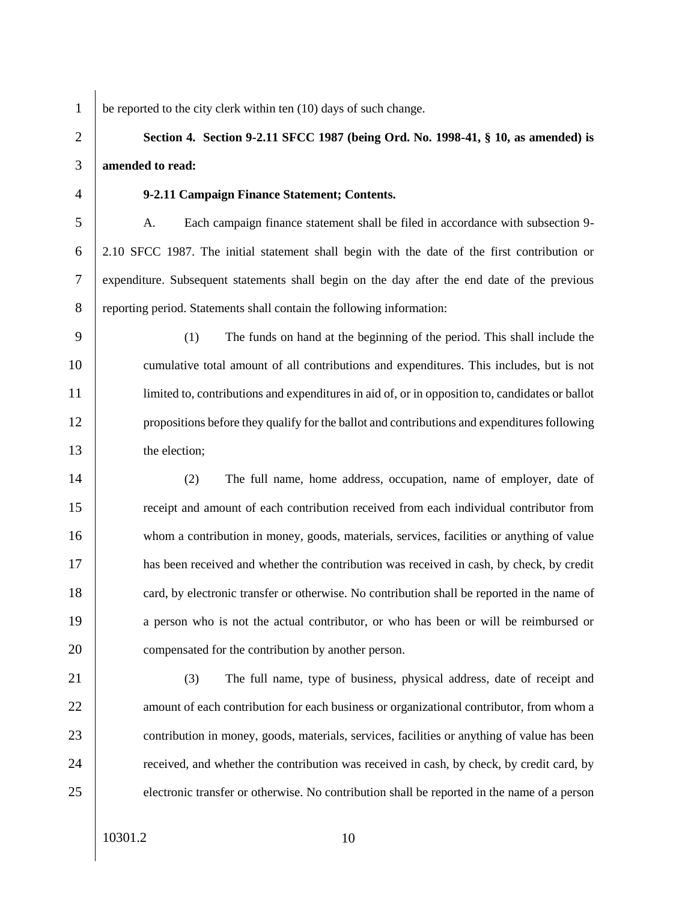1 be reported to the city clerk within ten  $(10)$  days of such change.

2 **Section 4. Section 9-2.11 SFCC 1987 (being Ord. No. 1998-41, § 10, as amended) is**  3 **amended to read:**

## 4 **9-2.11 Campaign Finance Statement; Contents.**

 A. Each campaign finance statement shall be filed in accordance with subsection 9- 2.10 SFCC 1987. The initial statement shall begin with the date of the first contribution or expenditure. Subsequent statements shall begin on the day after the end date of the previous 8 reporting period. Statements shall contain the following information:

9 (1) The funds on hand at the beginning of the period. This shall include the 10 cumulative total amount of all contributions and expenditures. This includes, but is not 11 limited to, contributions and expenditures in aid of, or in opposition to, candidates or ballot 12 propositions before they qualify for the ballot and contributions and expenditures following 13 the election;

14 (2) The full name, home address, occupation, name of employer, date of 15 receipt and amount of each contribution received from each individual contributor from 16 whom a contribution in money, goods, materials, services, facilities or anything of value 17 has been received and whether the contribution was received in cash, by check, by credit 18 card, by electronic transfer or otherwise. No contribution shall be reported in the name of 19 a person who is not the actual contributor, or who has been or will be reimbursed or 20 **compensated for the contribution by another person.** 

21 (3) The full name, type of business, physical address, date of receipt and 22 amount of each contribution for each business or organizational contributor, from whom a 23 contribution in money, goods, materials, services, facilities or anything of value has been 24 received, and whether the contribution was received in cash, by check, by credit card, by 25 electronic transfer or otherwise. No contribution shall be reported in the name of a person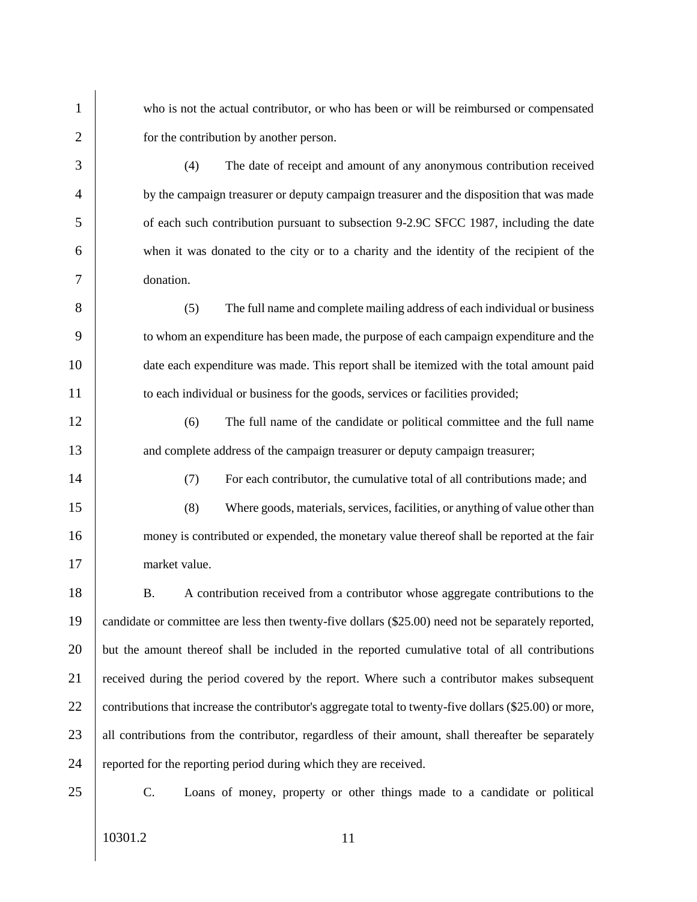1 who is not the actual contributor, or who has been or will be reimbursed or compensated 2 for the contribution by another person.

3 (4) The date of receipt and amount of any anonymous contribution received <sup>4</sup> by the campaign treasurer or deputy campaign treasurer and the disposition that was made 5 of each such contribution pursuant to subsection 9-2.9C SFCC 1987, including the date 6 when it was donated to the city or to a charity and the identity of the recipient of the 7 donation.

8 (5) The full name and complete mailing address of each individual or business 9 to whom an expenditure has been made, the purpose of each campaign expenditure and the 10 date each expenditure was made. This report shall be itemized with the total amount paid 11 to each individual or business for the goods, services or facilities provided;

12 (6) The full name of the candidate or political committee and the full name 13 and complete address of the campaign treasurer or deputy campaign treasurer;

14 (7) For each contributor, the cumulative total of all contributions made; and

15 (8) Where goods, materials, services, facilities, or anything of value other than 16 money is contributed or expended, the monetary value thereof shall be reported at the fair 17 market value.

18 B. A contribution received from a contributor whose aggregate contributions to the 19 candidate or committee are less then twenty-five dollars (\$25.00) need not be separately reported, 20 but the amount thereof shall be included in the reported cumulative total of all contributions 21 received during the period covered by the report. Where such a contributor makes subsequent 22 contributions that increase the contributor's aggregate total to twenty-five dollars (\$25.00) or more, 23 all contributions from the contributor, regardless of their amount, shall thereafter be separately 24 reported for the reporting period during which they are received.

25 C. Loans of money, property or other things made to a candidate or political